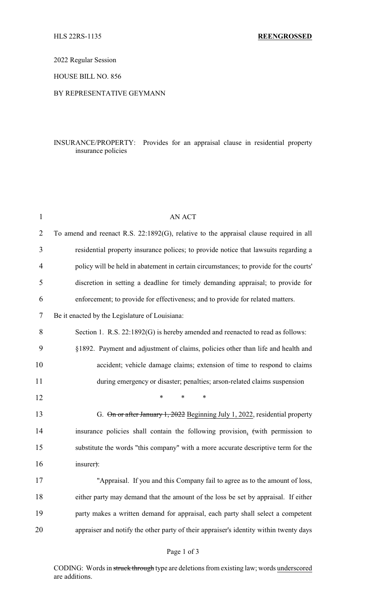2022 Regular Session

HOUSE BILL NO. 856

### BY REPRESENTATIVE GEYMANN

# INSURANCE/PROPERTY: Provides for an appraisal clause in residential property insurance policies

| $\mathbf{1}$   | <b>AN ACT</b>                                                                          |
|----------------|----------------------------------------------------------------------------------------|
| $\overline{2}$ | To amend and reenact R.S. 22:1892(G), relative to the appraisal clause required in all |
| 3              | residential property insurance polices; to provide notice that lawsuits regarding a    |
| 4              | policy will be held in abatement in certain circumstances; to provide for the courts'  |
| 5              | discretion in setting a deadline for timely demanding appraisal; to provide for        |
| 6              | enforcement; to provide for effectiveness; and to provide for related matters.         |
| 7              | Be it enacted by the Legislature of Louisiana:                                         |
| 8              | Section 1. R.S. 22:1892(G) is hereby amended and reenacted to read as follows:         |
| 9              | §1892. Payment and adjustment of claims, policies other than life and health and       |
| 10             | accident; vehicle damage claims; extension of time to respond to claims                |
| 11             | during emergency or disaster; penalties; arson-related claims suspension               |
| 12             | $\ast$<br>*<br>$\ast$                                                                  |
| 13             | G. On or after January 1, 2022 Beginning July 1, 2022, residential property            |
| 14             | insurance policies shall contain the following provision, (with permission to          |
| 15             | substitute the words "this company" with a more accurate descriptive term for the      |
| 16             | insurer):                                                                              |
| 17             | "Appraisal. If you and this Company fail to agree as to the amount of loss,            |
| 18             | either party may demand that the amount of the loss be set by appraisal. If either     |
| 19             | party makes a written demand for appraisal, each party shall select a competent        |
| 20             | appraiser and notify the other party of their appraiser's identity within twenty days  |
|                |                                                                                        |

CODING: Words in struck through type are deletions from existing law; words underscored are additions.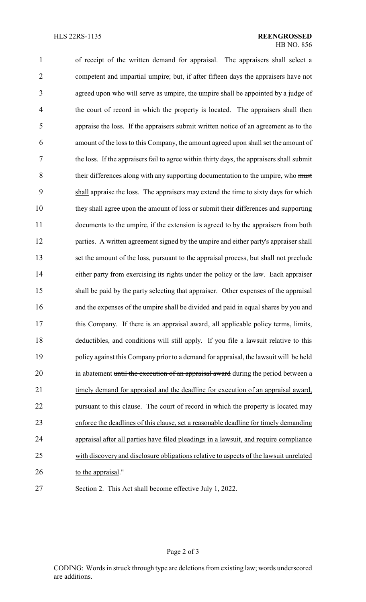of receipt of the written demand for appraisal. The appraisers shall select a competent and impartial umpire; but, if after fifteen days the appraisers have not agreed upon who will serve as umpire, the umpire shall be appointed by a judge of 4 the court of record in which the property is located. The appraisers shall then appraise the loss. If the appraisers submit written notice of an agreement as to the amount of the loss to this Company, the amount agreed upon shall set the amount of the loss. If the appraisers fail to agree within thirty days, the appraisers shall submit 8 their differences along with any supporting documentation to the umpire, who must shall appraise the loss. The appraisers may extend the time to sixty days for which they shall agree upon the amount of loss or submit their differences and supporting documents to the umpire, if the extension is agreed to by the appraisers from both 12 parties. A written agreement signed by the umpire and either party's appraiser shall set the amount of the loss, pursuant to the appraisal process, but shall not preclude 14 either party from exercising its rights under the policy or the law. Each appraiser shall be paid by the party selecting that appraiser. Other expenses of the appraisal and the expenses of the umpire shall be divided and paid in equal shares by you and this Company. If there is an appraisal award, all applicable policy terms, limits, deductibles, and conditions will still apply. If you file a lawsuit relative to this policy against this Company prior to a demand for appraisal, the lawsuit will be held 20 in abatement until the execution of an appraisal award during the period between a timely demand for appraisal and the deadline for execution of an appraisal award, pursuant to this clause. The court of record in which the property is located may enforce the deadlines of this clause, set a reasonable deadline for timely demanding appraisal after all parties have filed pleadings in a lawsuit, and require compliance with discovery and disclosure obligations relative to aspects of the lawsuit unrelated to the appraisal." Section 2. This Act shall become effective July 1, 2022.

## Page 2 of 3